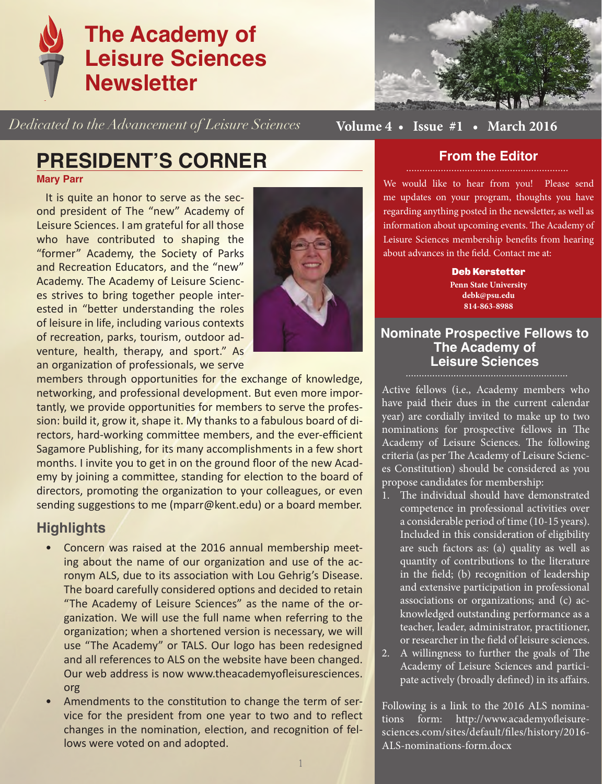

*Dedicated to the Advancement of Leisure Sciences*



**Volume 4 • Issue #1 • March 2016**

## **PRESIDENT'S CORNER**

**Mary Parr**

It is quite an honor to serve as the second president of The "new" Academy of Leisure Sciences. I am grateful for all those who have contributed to shaping the "former" Academy, the Society of Parks and Recreation Educators, and the "new" Academy. The Academy of Leisure Sciences strives to bring together people interested in "better understanding the roles of leisure in life, including various contexts of recreation, parks, tourism, outdoor adventure, health, therapy, and sport." As an organization of professionals, we serve



members through opportunities for the exchange of knowledge, networking, and professional development. But even more importantly, we provide opportunities for members to serve the profession: build it, grow it, shape it. My thanks to a fabulous board of directors, hard-working committee members, and the ever-efficient Sagamore Publishing, for its many accomplishments in a few short months. I invite you to get in on the ground floor of the new Academy by joining a committee, standing for election to the board of directors, promoting the organization to your colleagues, or even sending suggestions to me (mparr@kent.edu) or a board member.

### **Highlights**

- Concern was raised at the 2016 annual membership meeting about the name of our organization and use of the acronym ALS, due to its association with Lou Gehrig's Disease. The board carefully considered options and decided to retain "The Academy of Leisure Sciences" as the name of the organization. We will use the full name when referring to the organization; when a shortened version is necessary, we will use "The Academy" or TALS. Our logo has been redesigned and all references to ALS on the website have been changed. Our web address is now www.theacademyofleisuresciences. org
- Amendments to the constitution to change the term of service for the president from one year to two and to reflect changes in the nomination, election, and recognition of fellows were voted on and adopted.

### **From the Editor**

We would like to hear from you! Please send me updates on your program, thoughts you have regarding anything posted in the newsletter, as well as information about upcoming events. The Academy of Leisure Sciences membership benefits from hearing about advances in the field. Contact me at:

> Deb Kerstetter **Penn State University debk@psu.edu 814-863-8988**

### **Nominate Prospective Fellows to The Academy of Leisure Sciences**

Active fellows (i.e., Academy members who have paid their dues in the current calendar year) are cordially invited to make up to two nominations for prospective fellows in The Academy of Leisure Sciences. The following criteria (as per The Academy of Leisure Sciences Constitution) should be considered as you propose candidates for membership:

- 1. The individual should have demonstrated competence in professional activities over a considerable period of time (10-15 years). Included in this consideration of eligibility are such factors as: (a) quality as well as quantity of contributions to the literature in the field; (b) recognition of leadership and extensive participation in professional associations or organizations; and (c) acknowledged outstanding performance as a teacher, leader, administrator, practitioner, or researcher in the field of leisure sciences.
- 2. A willingness to further the goals of The Academy of Leisure Sciences and participate actively (broadly defined) in its affairs.

Following is a link to the 2016 ALS nominations form: http://www.academyofleisuresciences.com/sites/default/files/history/2016- ALS-nominations-form.docx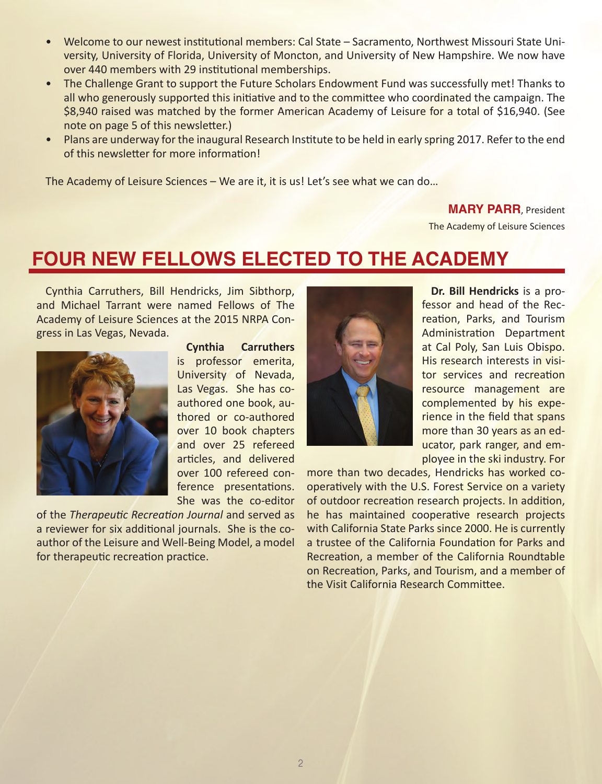- Welcome to our newest institutional members: Cal State Sacramento, Northwest Missouri State University, University of Florida, University of Moncton, and University of New Hampshire. We now have over 440 members with 29 institutional memberships.
- The Challenge Grant to support the Future Scholars Endowment Fund was successfully met! Thanks to all who generously supported this initiative and to the committee who coordinated the campaign. The \$8,940 raised was matched by the former American Academy of Leisure for a total of \$16,940. (See note on page 5 of this newsletter.)
- Plans are underway for the inaugural Research Institute to be held in early spring 2017. Refer to the end of this newsletter for more information!

The Academy of Leisure Sciences – We are it, it is us! Let's see what we can do…

#### **MARY PARR**, President

The Academy of Leisure Sciences

### **FOUR NEW FELLOWS ELECTED TO THE ACADEMY**

Cynthia Carruthers, Bill Hendricks, Jim Sibthorp, and Michael Tarrant were named Fellows of The Academy of Leisure Sciences at the 2015 NRPA Congress in Las Vegas, Nevada.



**Cynthia Carruthers**  is professor emerita, University of Nevada, Las Vegas. She has coauthored one book, authored or co-authored over 10 book chapters and over 25 refereed articles, and delivered over 100 refereed conference presentations. She was the co-editor

of the *Therapeutic Recreation Journal* and served as a reviewer for six additional journals. She is the coauthor of the Leisure and Well-Being Model, a model for therapeutic recreation practice.



**Dr. Bill Hendricks** is a professor and head of the Recreation, Parks, and Tourism Administration Department at Cal Poly, San Luis Obispo. His research interests in visitor services and recreation resource management are complemented by his experience in the field that spans more than 30 years as an educator, park ranger, and employee in the ski industry. For

more than two decades, Hendricks has worked cooperatively with the U.S. Forest Service on a variety of outdoor recreation research projects. In addition, he has maintained cooperative research projects with California State Parks since 2000. He is currently a trustee of the California Foundation for Parks and Recreation, a member of the California Roundtable on Recreation, Parks, and Tourism, and a member of the Visit California Research Committee.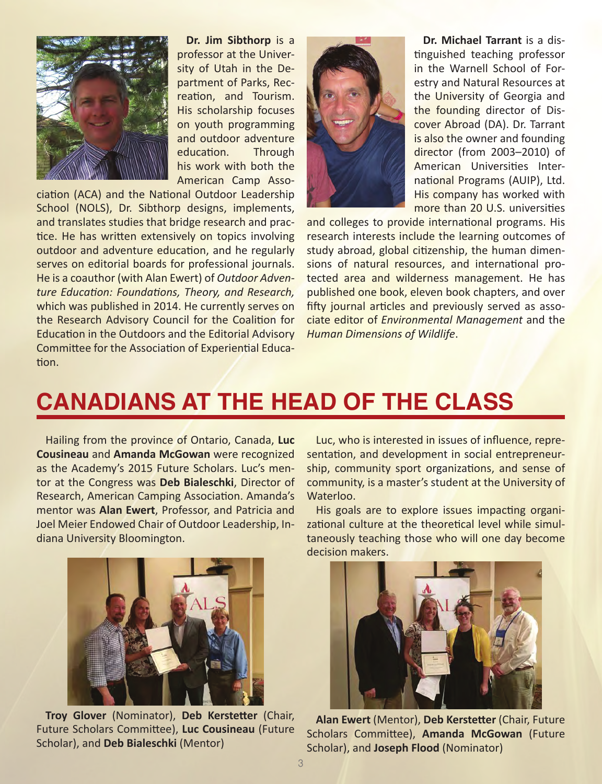

**Dr. Jim Sibthorp** is a professor at the University of Utah in the Department of Parks, Recreation, and Tourism. His scholarship focuses on youth programming and outdoor adventure education. Through his work with both the American Camp Asso-

ciation (ACA) and the National Outdoor Leadership School (NOLS), Dr. Sibthorp designs, implements, and translates studies that bridge research and practice. He has written extensively on topics involving outdoor and adventure education, and he regularly serves on editorial boards for professional journals. He is a coauthor (with Alan Ewert) of *Outdoor Adventure Education: Foundations, Theory, and Research,*  which was published in 2014. He currently serves on the Research Advisory Council for the Coalition for Education in the Outdoors and the Editorial Advisory Committee for the Association of Experiential Education.



**Dr. Michael Tarrant** is a distinguished teaching professor in the Warnell School of Forestry and Natural Resources at the University of Georgia and the founding director of Discover Abroad (DA). Dr. Tarrant is also the owner and founding director (from 2003–2010) of American Universities International Programs (AUIP), Ltd. His company has worked with more than 20 U.S. universities

and colleges to provide international programs. His research interests include the learning outcomes of study abroad, global citizenship, the human dimensions of natural resources, and international protected area and wilderness management. He has published one book, eleven book chapters, and over fifty journal articles and previously served as associate editor of *Environmental Management* and the *Human Dimensions of Wildlife*.

## **CANADIANS AT THE HEAD OF THE CLASS**

Hailing from the province of Ontario, Canada, **Luc Cousineau** and **Amanda McGowan** were recognized as the Academy's 2015 Future Scholars. Luc's mentor at the Congress was **Deb Bialeschki**, Director of Research, American Camping Association. Amanda's mentor was **Alan Ewert**, Professor, and Patricia and Joel Meier Endowed Chair of Outdoor Leadership, Indiana University Bloomington.



**Troy Glover** (Nominator), **Deb Kerstetter** (Chair, Future Scholars Committee), **Luc Cousineau** (Future Scholar), and **Deb Bialeschki** (Mentor)

Luc, who is interested in issues of influence, representation, and development in social entrepreneurship, community sport organizations, and sense of community, is a master's student at the University of Waterloo.

His goals are to explore issues impacting organizational culture at the theoretical level while simultaneously teaching those who will one day become decision makers.



**Alan Ewert** (Mentor), **Deb Kerstetter** (Chair, Future Scholars Committee), **Amanda McGowan** (Future Scholar), and **Joseph Flood** (Nominator)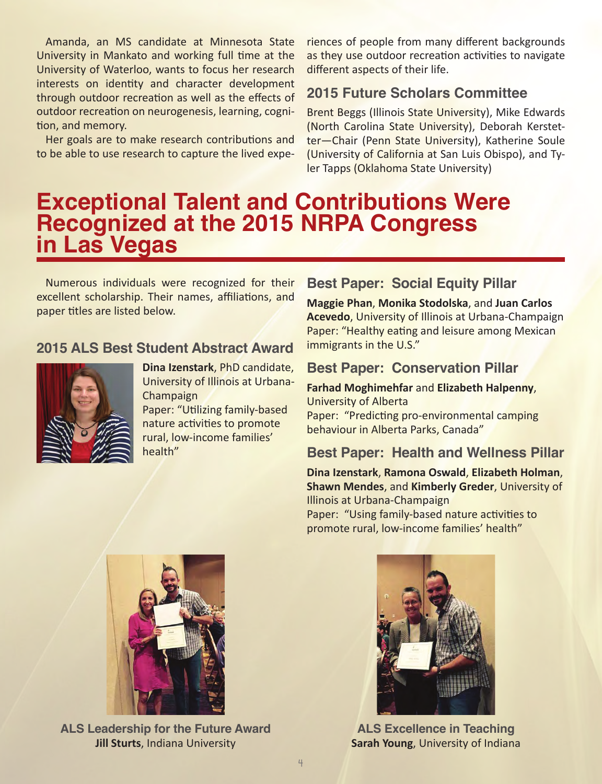Amanda, an MS candidate at Minnesota State University in Mankato and working full time at the University of Waterloo, wants to focus her research interests on identity and character development through outdoor recreation as well as the effects of outdoor recreation on neurogenesis, learning, cognition, and memory.

Her goals are to make research contributions and to be able to use research to capture the lived experiences of people from many different backgrounds as they use outdoor recreation activities to navigate different aspects of their life.

### **2015 Future Scholars Committee**

Brent Beggs (Illinois State University), Mike Edwards (North Carolina State University), Deborah Kerstetter—Chair (Penn State University), Katherine Soule (University of California at San Luis Obispo), and Tyler Tapps (Oklahoma State University)

## **Exceptional Talent and Contributions Were Recognized at the 2015 NRPA Congress in Las Vegas**

Numerous individuals were recognized for their excellent scholarship. Their names, affiliations, and paper titles are listed below.

### **2015 ALS Best Student Abstract Award**



**Dina Izenstark**, PhD candidate, University of Illinois at Urbana-Champaign

Paper: "Utilizing family-based nature activities to promote rural, low-income families' health"

### **Best Paper: Social Equity Pillar**

**Maggie Phan**, **Monika Stodolska**, and **Juan Carlos Acevedo**, University of Illinois at Urbana-Champaign Paper: "Healthy eating and leisure among Mexican immigrants in the U.S."

### **Best Paper: Conservation Pillar**

**Farhad Moghimehfar** and **Elizabeth Halpenny**, University of Alberta Paper: "Predicting pro-environmental camping behaviour in Alberta Parks, Canada"

### **Best Paper: Health and Wellness Pillar**

**Dina Izenstark**, **Ramona Oswald**, **Elizabeth Holman**, **Shawn Mendes**, and **Kimberly Greder**, University of Illinois at Urbana-Champaign

Paper: "Using family-based nature activities to promote rural, low-income families' health"



**ALS Leadership for the Future Award Jill Sturts**, Indiana University



**ALS Excellence in Teaching Sarah Young**, University of Indiana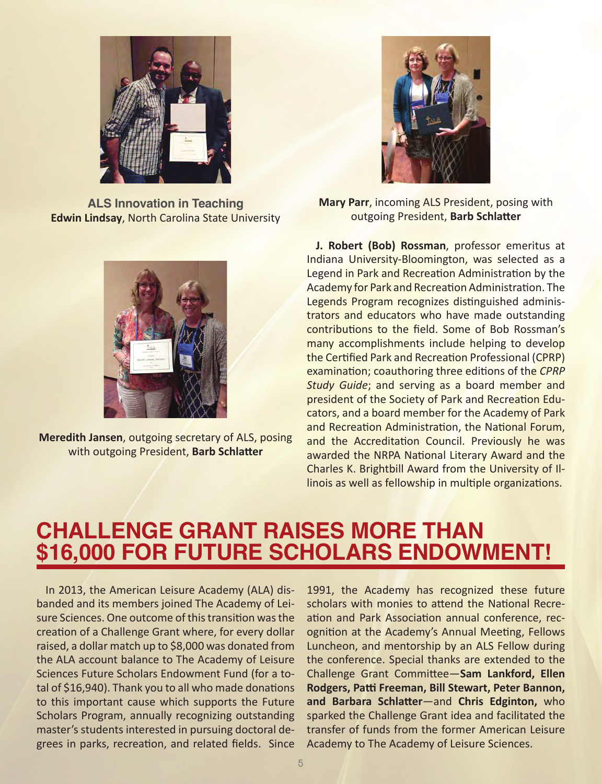

**ALS Innovation in Teaching Edwin Lindsay**, North Carolina State University



**Meredith Jansen**, outgoing secretary of ALS, posing with outgoing President, **Barb Schlatter** 



**Mary Parr**, incoming ALS President, posing with outgoing President, **Barb Schlatter** 

**J. Robert (Bob) Rossman**, professor emeritus at Indiana University-Bloomington, was selected as a Legend in Park and Recreation Administration by the Academy for Park and Recreation Administration. The Legends Program recognizes distinguished administrators and educators who have made outstanding contributions to the field. Some of Bob Rossman's many accomplishments include helping to develop the Certified Park and Recreation Professional (CPRP) examination; coauthoring three editions of the *CPRP Study Guide*; and serving as a board member and president of the Society of Park and Recreation Educators, and a board member for the Academy of Park and Recreation Administration, the National Forum, and the Accreditation Council. Previously he was awarded the NRPA National Literary Award and the Charles K. Brightbill Award from the University of Illinois as well as fellowship in multiple organizations.

## **CHALLENGE GRANT RAISES MORE THAN \$16,000 FOR FUTURE SCHOLARS ENDOWMENT!**

In 2013, the American Leisure Academy (ALA) disbanded and its members joined The Academy of Leisure Sciences. One outcome of this transition was the creation of a Challenge Grant where, for every dollar raised, a dollar match up to \$8,000 was donated from the ALA account balance to The Academy of Leisure Sciences Future Scholars Endowment Fund (for a total of \$16,940). Thank you to all who made donations to this important cause which supports the Future Scholars Program, annually recognizing outstanding master's students interested in pursuing doctoral degrees in parks, recreation, and related fields. Since

1991, the Academy has recognized these future scholars with monies to attend the National Recreation and Park Association annual conference, recognition at the Academy's Annual Meeting, Fellows Luncheon, and mentorship by an ALS Fellow during the conference. Special thanks are extended to the Challenge Grant Committee—**Sam Lankford, Ellen Rodgers, Patti Freeman, Bill Stewart, Peter Bannon, and Barbara Schlatter**—and **Chris Edginton,** who sparked the Challenge Grant idea and facilitated the transfer of funds from the former American Leisure Academy to The Academy of Leisure Sciences.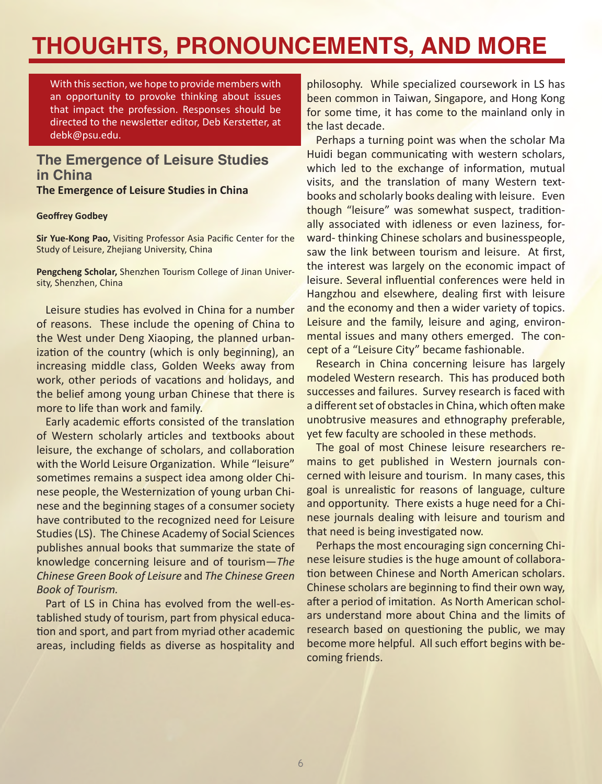# **THOUGHTS, PRONOUNCEMENTS, AND MORE**

With this section, we hope to provide members with an opportunity to provoke thinking about issues that impact the profession. Responses should be directed to the newsletter editor, Deb Kerstetter, at debk@psu.edu.

### **The Emergence of Leisure Studies in China**

**The Emergence of Leisure Studies in China**

#### **Geoffrey Godbey**

**Sir Yue-Kong Pao,** Visiting Professor Asia Pacific Center for the Study of Leisure, Zhejiang University, China

**Pengcheng Scholar,** Shenzhen Tourism College of Jinan University, Shenzhen, China

Leisure studies has evolved in China for a number of reasons. These include the opening of China to the West under Deng Xiaoping, the planned urbanization of the country (which is only beginning), an increasing middle class, Golden Weeks away from work, other periods of vacations and holidays, and the belief among young urban Chinese that there is more to life than work and family.

Early academic efforts consisted of the translation of Western scholarly articles and textbooks about leisure, the exchange of scholars, and collaboration with the World Leisure Organization. While "leisure" sometimes remains a suspect idea among older Chinese people, the Westernization of young urban Chinese and the beginning stages of a consumer society have contributed to the recognized need for Leisure Studies (LS). The Chinese Academy of Social Sciences publishes annual books that summarize the state of knowledge concerning leisure and of tourism—*The Chinese Green Book of Leisure* and *The Chinese Green Book of Tourism.*

Part of LS in China has evolved from the well-established study of tourism, part from physical education and sport, and part from myriad other academic areas, including fields as diverse as hospitality and

philosophy. While specialized coursework in LS has been common in Taiwan, Singapore, and Hong Kong for some time, it has come to the mainland only in the last decade.

Perhaps a turning point was when the scholar Ma Huidi began communicating with western scholars, which led to the exchange of information, mutual visits, and the translation of many Western textbooks and scholarly books dealing with leisure. Even though "leisure" was somewhat suspect, traditionally associated with idleness or even laziness, forward- thinking Chinese scholars and businesspeople, saw the link between tourism and leisure. At first, the interest was largely on the economic impact of leisure. Several influential conferences were held in Hangzhou and elsewhere, dealing first with leisure and the economy and then a wider variety of topics. Leisure and the family, leisure and aging, environmental issues and many others emerged. The concept of a "Leisure City" became fashionable.

Research in China concerning leisure has largely modeled Western research. This has produced both successes and failures. Survey research is faced with a different set of obstacles in China, which often make unobtrusive measures and ethnography preferable, yet few faculty are schooled in these methods.

The goal of most Chinese leisure researchers remains to get published in Western journals concerned with leisure and tourism. In many cases, this goal is unrealistic for reasons of language, culture and opportunity. There exists a huge need for a Chinese journals dealing with leisure and tourism and that need is being investigated now.

Perhaps the most encouraging sign concerning Chinese leisure studies is the huge amount of collaboration between Chinese and North American scholars. Chinese scholars are beginning to find their own way, after a period of imitation. As North American scholars understand more about China and the limits of research based on questioning the public, we may become more helpful. All such effort begins with becoming friends.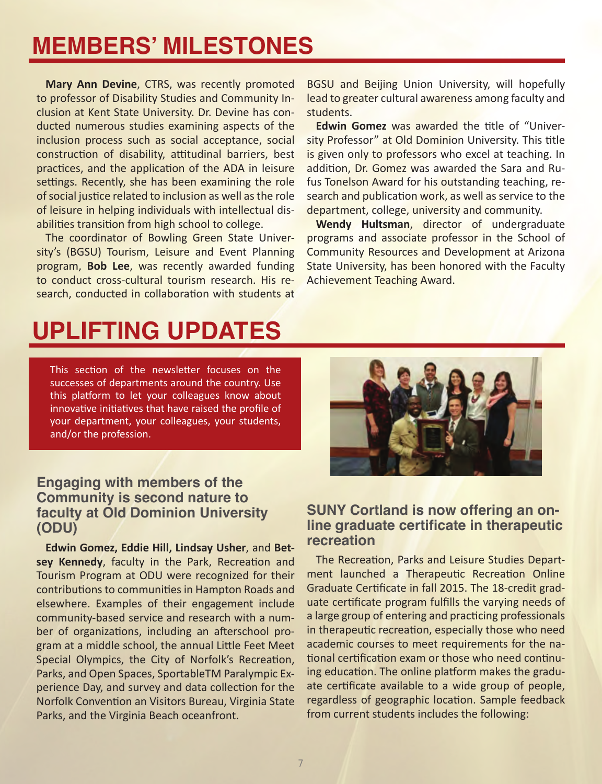## **MEMBERS' MILESTONES**

**Mary Ann Devine**, CTRS, was recently promoted to professor of Disability Studies and Community Inclusion at Kent State University. Dr. Devine has conducted numerous studies examining aspects of the inclusion process such as social acceptance, social construction of disability, attitudinal barriers, best practices, and the application of the ADA in leisure settings. Recently, she has been examining the role of social justice related to inclusion as well as the role of leisure in helping individuals with intellectual disabilities transition from high school to college.

The coordinator of Bowling Green State University's (BGSU) Tourism, Leisure and Event Planning program, **Bob Lee**, was recently awarded funding to conduct cross-cultural tourism research. His research, conducted in collaboration with students at BGSU and Beijing Union University, will hopefully lead to greater cultural awareness among faculty and students.

**Edwin Gomez** was awarded the title of "University Professor" at Old Dominion University. This title is given only to professors who excel at teaching. In addition, Dr. Gomez was awarded the Sara and Rufus Tonelson Award for his outstanding teaching, research and publication work, as well as service to the department, college, university and community.

**Wendy Hultsman**, director of undergraduate programs and associate professor in the School of Community Resources and Development at Arizona State University, has been honored with the Faculty Achievement Teaching Award.

# **UPLIFTING UPDATES**

This section of the newsletter focuses on the successes of departments around the country. Use this platform to let your colleagues know about innovative initiatives that have raised the profile of your department, your colleagues, your students, and/or the profession.

#### **Engaging with members of the Community is second nature to faculty at Old Dominion University (ODU)**

**Edwin Gomez, Eddie Hill, Lindsay Usher**, and **Betsey Kennedy**, faculty in the Park, Recreation and Tourism Program at ODU were recognized for their contributions to communities in Hampton Roads and elsewhere. Examples of their engagement include community-based service and research with a number of organizations, including an afterschool program at a middle school, the annual Little Feet Meet Special Olympics, the City of Norfolk's Recreation, Parks, and Open Spaces, SportableTM Paralympic Experience Day, and survey and data collection for the Norfolk Convention an Visitors Bureau, Virginia State Parks, and the Virginia Beach oceanfront.



### **SUNY Cortland is now offering an online graduate certificate in therapeutic recreation**

The Recreation, Parks and Leisure Studies Department launched a Therapeutic Recreation Online Graduate Certificate in fall 2015. The 18-credit graduate certificate program fulfills the varying needs of a large group of entering and practicing professionals in therapeutic recreation, especially those who need academic courses to meet requirements for the national certification exam or those who need continuing education. The online platform makes the graduate certificate available to a wide group of people, regardless of geographic location. Sample feedback from current students includes the following: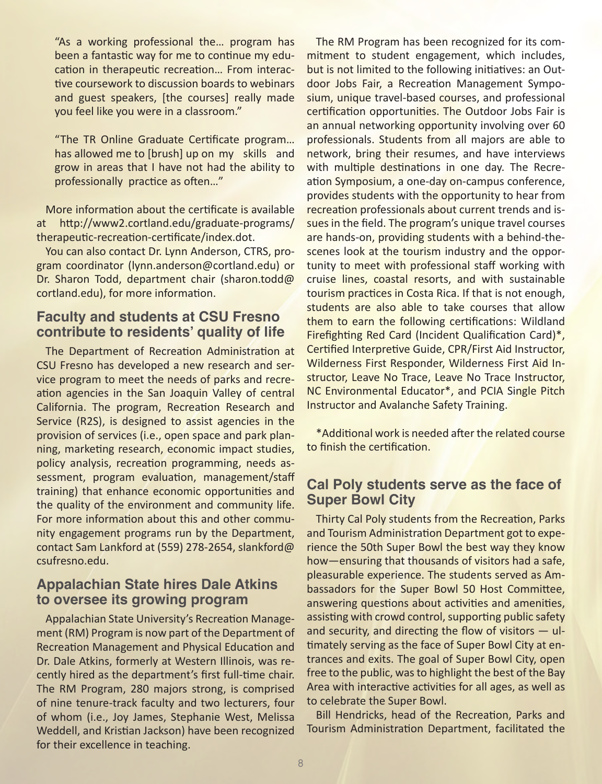"As a working professional the… program has been a fantastic way for me to continue my education in therapeutic recreation… From interactive coursework to discussion boards to webinars and guest speakers, [the courses] really made you feel like you were in a classroom."

"The TR Online Graduate Certificate program… has allowed me to [brush] up on my skills and grow in areas that I have not had the ability to professionally practice as often…"

More information about the certificate is available at http://www2.cortland.edu/graduate-programs/ therapeutic-recreation-certificate/index.dot.

You can also contact Dr. Lynn Anderson, CTRS, program coordinator (lynn.anderson@cortland.edu) or Dr. Sharon Todd, department chair (sharon.todd@ cortland.edu), for more information.

### **Faculty and students at CSU Fresno contribute to residents' quality of life**

The Department of Recreation Administration at CSU Fresno has developed a new research and service program to meet the needs of parks and recreation agencies in the San Joaquin Valley of central California. The program, Recreation Research and Service (R2S), is designed to assist agencies in the provision of services (i.e., open space and park planning, marketing research, economic impact studies, policy analysis, recreation programming, needs assessment, program evaluation, management/staff training) that enhance economic opportunities and the quality of the environment and community life. For more information about this and other community engagement programs run by the Department, contact Sam Lankford at (559) 278-2654, slankford@ csufresno.edu.

### **Appalachian State hires Dale Atkins to oversee its growing program**

Appalachian State University's Recreation Management (RM) Program is now part of the Department of Recreation Management and Physical Education and Dr. Dale Atkins, formerly at Western Illinois, was recently hired as the department's first full-time chair. The RM Program, 280 majors strong, is comprised of nine tenure-track faculty and two lecturers, four of whom (i.e., Joy James, Stephanie West, Melissa Weddell, and Kristian Jackson) have been recognized for their excellence in teaching.

The RM Program has been recognized for its commitment to student engagement, which includes, but is not limited to the following initiatives: an Outdoor Jobs Fair, a Recreation Management Symposium, unique travel-based courses, and professional certification opportunities. The Outdoor Jobs Fair is an annual networking opportunity involving over 60 professionals. Students from all majors are able to network, bring their resumes, and have interviews with multiple destinations in one day. The Recreation Symposium, a one-day on-campus conference, provides students with the opportunity to hear from recreation professionals about current trends and issues in the field. The program's unique travel courses are hands-on, providing students with a behind-thescenes look at the tourism industry and the opportunity to meet with professional staff working with cruise lines, coastal resorts, and with sustainable tourism practices in Costa Rica. If that is not enough, students are also able to take courses that allow them to earn the following certifications: Wildland Firefighting Red Card (Incident Qualification Card)\*, Certified Interpretive Guide, CPR/First Aid Instructor, Wilderness First Responder, Wilderness First Aid Instructor, Leave No Trace, Leave No Trace Instructor, NC Environmental Educator\*, and PCIA Single Pitch Instructor and Avalanche Safety Training.

\*Additional work is needed after the related course to finish the certification.

### **Cal Poly students serve as the face of Super Bowl City**

Thirty Cal Poly students from the Recreation, Parks and Tourism Administration Department got to experience the 50th Super Bowl the best way they know how—ensuring that thousands of visitors had a safe, pleasurable experience. The students served as Ambassadors for the Super Bowl 50 Host Committee, answering questions about activities and amenities, assisting with crowd control, supporting public safety and security, and directing the flow of visitors — ultimately serving as the face of Super Bowl City at entrances and exits. The goal of Super Bowl City, open free to the public, was to highlight the best of the Bay Area with interactive activities for all ages, as well as to celebrate the Super Bowl.

Bill Hendricks, head of the Recreation, Parks and Tourism Administration Department, facilitated the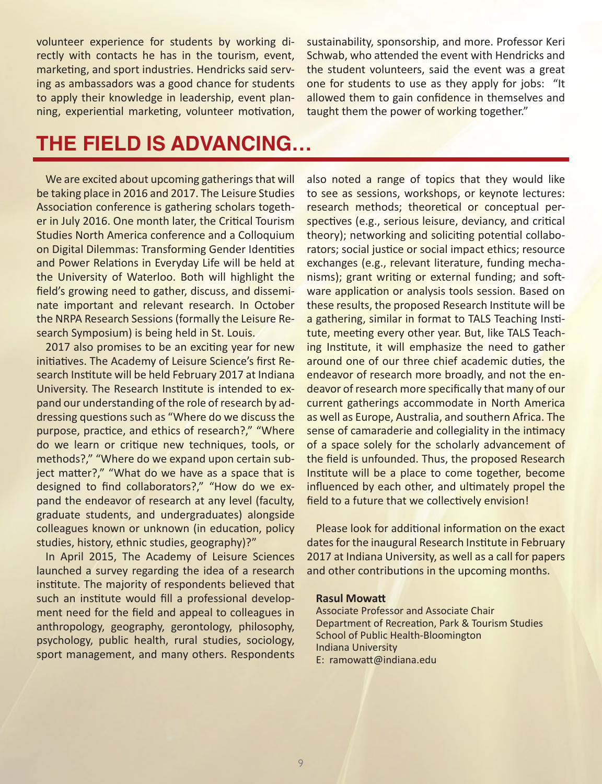volunteer experience for students by working directly with contacts he has in the tourism, event, marketing, and sport industries. Hendricks said serving as ambassadors was a good chance for students to apply their knowledge in leadership, event planning, experiential marketing, volunteer motivation, sustainability, sponsorship, and more. Professor Keri Schwab, who attended the event with Hendricks and the student volunteers, said the event was a great one for students to use as they apply for jobs: "It allowed them to gain confidence in themselves and taught them the power of working together."

## **THE FIELD IS ADVANCING…**

We are excited about upcoming gatherings that will be taking place in 2016 and 2017. The Leisure Studies Association conference is gathering scholars together in July 2016. One month later, the Critical Tourism Studies North America conference and a Colloquium on Digital Dilemmas: Transforming Gender Identities and Power Relations in Everyday Life will be held at the University of Waterloo. Both will highlight the field's growing need to gather, discuss, and disseminate important and relevant research. In October the NRPA Research Sessions (formally the Leisure Research Symposium) is being held in St. Louis.

2017 also promises to be an exciting year for new initiatives. The Academy of Leisure Science's first Research Institute will be held February 2017 at Indiana University. The Research Institute is intended to expand our understanding of the role of research by addressing questions such as "Where do we discuss the purpose, practice, and ethics of research?," "Where do we learn or critique new techniques, tools, or methods?," "Where do we expand upon certain subject matter?," "What do we have as a space that is designed to find collaborators?," "How do we expand the endeavor of research at any level (faculty, graduate students, and undergraduates) alongside colleagues known or unknown (in education, policy studies, history, ethnic studies, geography)?"

In April 2015, The Academy of Leisure Sciences launched a survey regarding the idea of a research institute. The majority of respondents believed that such an institute would fill a professional development need for the field and appeal to colleagues in anthropology, geography, gerontology, philosophy, psychology, public health, rural studies, sociology, sport management, and many others. Respondents also noted a range of topics that they would like to see as sessions, workshops, or keynote lectures: research methods; theoretical or conceptual perspectives (e.g., serious leisure, deviancy, and critical theory); networking and soliciting potential collaborators; social justice or social impact ethics; resource exchanges (e.g., relevant literature, funding mechanisms); grant writing or external funding; and software application or analysis tools session. Based on these results, the proposed Research Institute will be a gathering, similar in format to TALS Teaching Institute, meeting every other year. But, like TALS Teaching Institute, it will emphasize the need to gather around one of our three chief academic duties, the endeavor of research more broadly, and not the endeavor of research more specifically that many of our current gatherings accommodate in North America as well as Europe, Australia, and southern Africa. The sense of camaraderie and collegiality in the intimacy of a space solely for the scholarly advancement of the field is unfounded. Thus, the proposed Research Institute will be a place to come together, become influenced by each other, and ultimately propel the field to a future that we collectively envision!

Please look for additional information on the exact dates for the inaugural Research Institute in February 2017 at Indiana University, as well as a call for papers and other contributions in the upcoming months.

#### **Rasul Mowatt**

Associate Professor and Associate Chair Department of Recreation, Park & Tourism Studies School of Public Health-Bloomington Indiana University E: ramowatt@indiana.edu